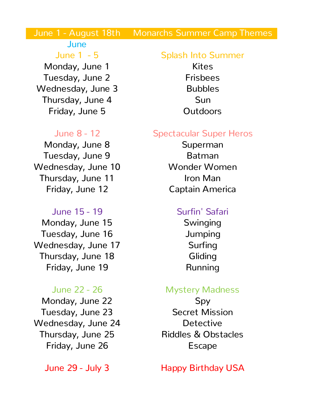# June 1 - August 18th Monarchs Summer Camp Themes

# June

Monday, June 1 Kites Tuesday, June 2 Frisbees Wednesday, June 3 Bubbles Thursday, June 4 Sun Friday, June 5 **Outdoors** 

Monday, June 8 Superman Tuesday, June 9 Batman Wednesday, June 10 Wonder Women Thursday, June 11 **Iron Man** Friday, June 12 Captain America

Monday, June 15 Swinging Tuesday, June 16 Jumping Wednesday, June 17 Surfing Thursday, June 18 **Gliding** Friday, June 19 **Running** 

Monday, June 22 Spy Tuesday, June 23 Secret Mission Wednesday, June 24 Detective Friday, June 26 **Escape** 

# June 1 - 5 Splash Into Summer

### June 8 - 12 Spectacular Super Heros

## June 15 - 19 Surfin' Safari

### June 22 - 26 Mystery Madness

Thursday, June 25 Riddles & Obstacles

June 29 - July 3 Happy Birthday USA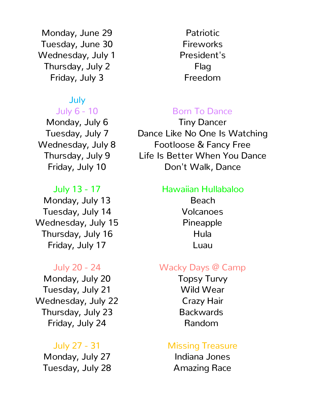Monday, June 29 **Patriotic** Tuesday, June 30 Fireworks Wednesday, July 1 President's Thursday, July 2 Flag Friday, July 3 **Freedom** 

# July

Monday, July 13 **Beach** Tuesday, July 14 Volcanoes Wednesday, July 15 Pineapple Thursday, July 16 **Hula** Friday, July 17 **Luau** 

Monday, July 20 **Topsy Turvy** Tuesday, July 21 Wild Wear Wednesday, July 22 Crazy Hair Thursday, July 23 Backwards Friday, July 24 Random

Monday, July 27 **Indiana Jones** Tuesday, July 28 **Amazing Race** 

# July 6 - 10 **Born To Dance**

Monday, July 6 Tiny Dancer Tuesday, July 7 Dance Like No One Is Watching Wednesday, July 8 Footloose & Fancy Free Thursday, July 9 Life Is Better When You Dance Friday, July 10 **Don't Walk, Dance** 

### July 13 - 17 Hawaiian Hullabaloo

## July 20 - 24 Wacky Days @ Camp

# July 27 - 31 Missing Treasure